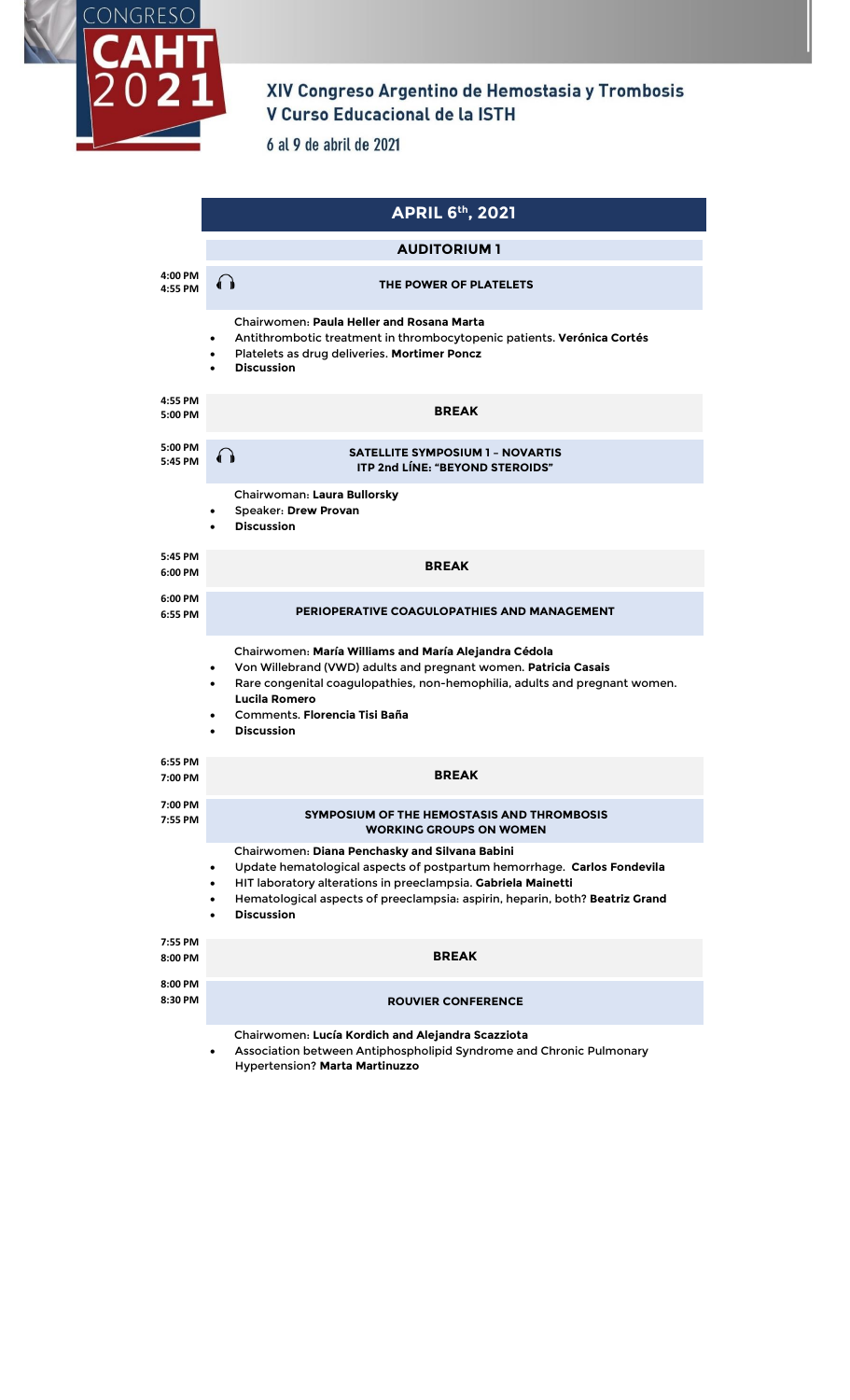

## XIV Congreso Argentino de Hemostasia y Trombosis<br>V Curso Educacional de la ISTH

6 al 9 de abril de 2021

|                    | <b>APRIL 6th, 2021</b>                                                                                                                                                                                                                                                                                                                 |
|--------------------|----------------------------------------------------------------------------------------------------------------------------------------------------------------------------------------------------------------------------------------------------------------------------------------------------------------------------------------|
|                    | <b>AUDITORIUM 1</b>                                                                                                                                                                                                                                                                                                                    |
| 4:00 PM<br>4:55 PM | THE POWER OF PLATELETS                                                                                                                                                                                                                                                                                                                 |
|                    | Chairwomen: Paula Heller and Rosana Marta<br>Antithrombotic treatment in thrombocytopenic patients. Verónica Cortés<br>Platelets as drug deliveries. Mortimer Poncz<br><b>Discussion</b><br>$\bullet$                                                                                                                                  |
| 4:55 PM<br>5:00 PM | <b>BREAK</b>                                                                                                                                                                                                                                                                                                                           |
| 5:00 PM<br>5:45 PM | <b>SATELLITE SYMPOSIUM 1 - NOVARTIS</b><br>(∂<br><b>ITP 2nd LÍNE: "BEYOND STEROIDS"</b>                                                                                                                                                                                                                                                |
|                    | Chairwoman: Laura Bullorsky<br><b>Speaker: Drew Provan</b><br><b>Discussion</b><br>$\bullet$                                                                                                                                                                                                                                           |
| 5:45 PM<br>6:00 PM | <b>BREAK</b>                                                                                                                                                                                                                                                                                                                           |
| 6:00 PM<br>6:55 PM | PERIOPERATIVE COAGULOPATHIES AND MANAGEMENT                                                                                                                                                                                                                                                                                            |
|                    | Chairwomen: María Williams and María Alejandra Cédola<br>Von Willebrand (VWD) adults and pregnant women. Patricia Casais<br>$\bullet$<br>Rare congenital coagulopathies, non-hemophilia, adults and pregnant women.<br>$\bullet$<br>Lucila Romero<br>Comments, Florencia Tisi Baña<br>$\bullet$<br><b>Discussion</b>                   |
| 6:55 PM<br>7:00 PM | <b>BREAK</b>                                                                                                                                                                                                                                                                                                                           |
| 7:00 PM<br>7:55 PM | SYMPOSIUM OF THE HEMOSTASIS AND THROMBOSIS<br><b>WORKING GROUPS ON WOMEN</b>                                                                                                                                                                                                                                                           |
|                    | Chairwomen: Diana Penchasky and Silvana Babini<br>Update hematological aspects of postpartum hemorrhage. Carlos Fondevila<br>$\bullet$<br>HIT laboratory alterations in preeclampsia. Gabriela Mainetti<br>$\bullet$<br>Hematological aspects of preeclampsia: aspirin, heparin, both? Beatriz Grand<br>$\bullet$<br><b>Discussion</b> |
| 7:55 PM<br>8:00 PM | <b>BREAK</b>                                                                                                                                                                                                                                                                                                                           |
| 8:00 PM<br>8:30 PM | <b>ROUVIER CONFERENCE</b>                                                                                                                                                                                                                                                                                                              |
|                    | Chairwomen: Lucía Kordich and Alejandra Scazziota<br>Association between Antiphospholipid Syndrome and Chronic Pulmonary<br><b>Hypertension? Marta Martinuzzo</b>                                                                                                                                                                      |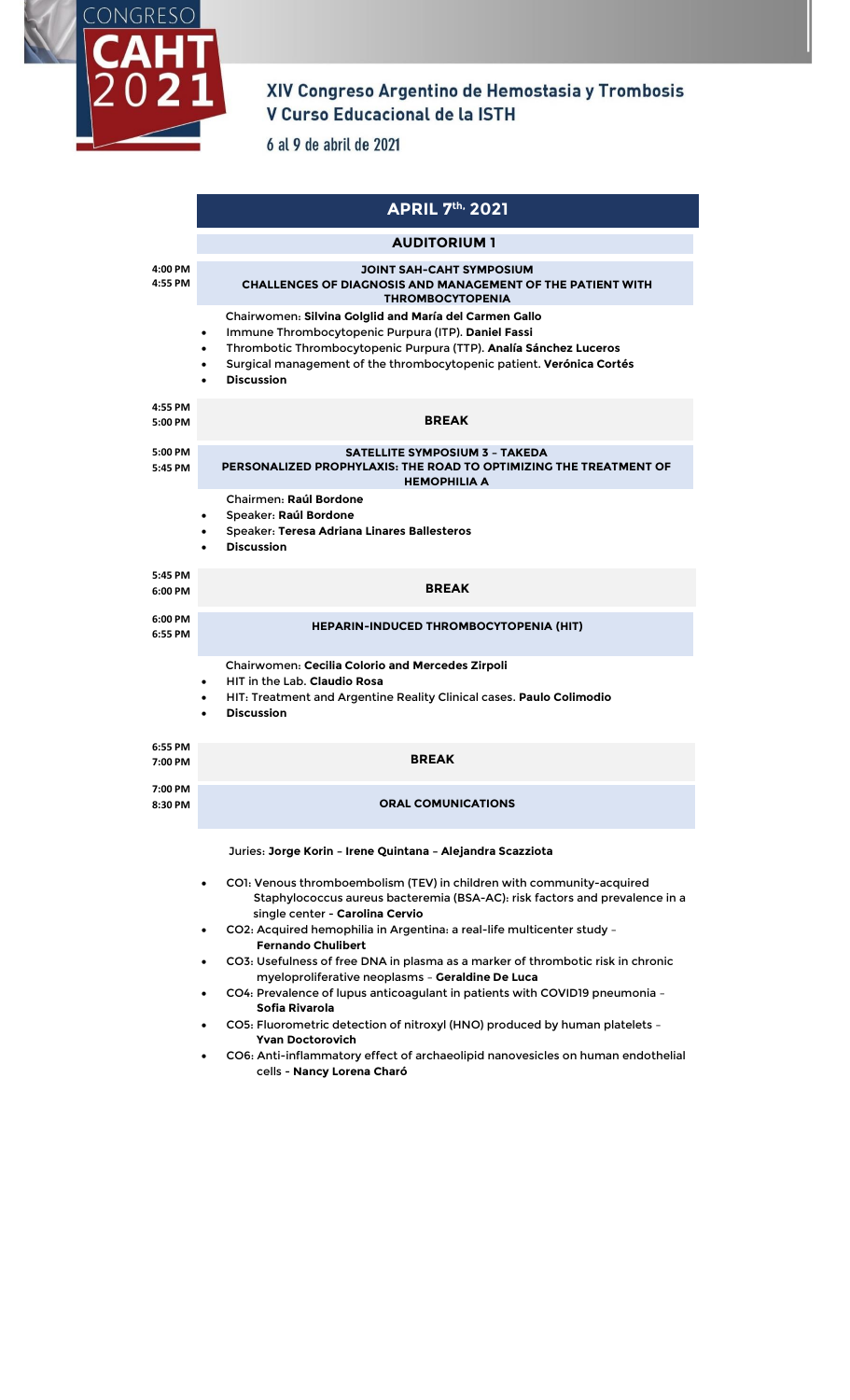

## XIV Congreso Argentino de Hemostasia y Trombosis<br>V Curso Educacional de la ISTH

6 al 9 de abril de 2021

|                    | <b>APRIL 7th, 2021</b>                                                                                                                                                                                                                                                                    |
|--------------------|-------------------------------------------------------------------------------------------------------------------------------------------------------------------------------------------------------------------------------------------------------------------------------------------|
|                    | <b>AUDITORIUM 1</b>                                                                                                                                                                                                                                                                       |
| 4:00 PM<br>4:55 PM | <b>JOINT SAH-CAHT SYMPOSIUM</b><br><b>CHALLENGES OF DIAGNOSIS AND MANAGEMENT OF THE PATIENT WITH</b><br><b>THROMBOCYTOPENIA</b>                                                                                                                                                           |
|                    | Chairwomen: Silvina Golglid and María del Carmen Gallo<br>Immune Thrombocytopenic Purpura (ITP). Daniel Fassi<br>٠<br>Thrombotic Thrombocytopenic Purpura (TTP). Analía Sánchez Luceros<br>٠<br>Surgical management of the thrombocytopenic patient. Verónica Cortés<br><b>Discussion</b> |
| 4:55 PM<br>5:00 PM | <b>BREAK</b>                                                                                                                                                                                                                                                                              |
| 5:00 PM<br>5:45 PM | <b>SATELLITE SYMPOSIUM 3 - TAKEDA</b><br>PERSONALIZED PROPHYLAXIS: THE ROAD TO OPTIMIZING THE TREATMENT OF<br><b>HEMOPHILIA A</b>                                                                                                                                                         |
|                    | Chairmen: Raúl Bordone<br>Speaker: Raúl Bordone<br>Speaker: Teresa Adriana Linares Ballesteros<br><b>Discussion</b>                                                                                                                                                                       |
| 5:45 PM<br>6:00 PM | <b>BREAK</b>                                                                                                                                                                                                                                                                              |
| 6:00 PM<br>6:55 PM | <b>HEPARIN-INDUCED THROMBOCYTOPENIA (HIT)</b>                                                                                                                                                                                                                                             |
|                    | Chairwomen: Cecilia Colorio and Mercedes Zirpoli<br>HIT in the Lab. Claudio Rosa<br>٠<br>HIT: Treatment and Argentine Reality Clinical cases. Paulo Colimodio<br><b>Discussion</b>                                                                                                        |
| 6:55 PM<br>7:00 PM | <b>BREAK</b>                                                                                                                                                                                                                                                                              |
| 7:00 PM<br>8:30 PM | <b>ORAL COMUNICATIONS</b>                                                                                                                                                                                                                                                                 |
|                    | Juries: Jorge Korin - Irene Quintana - Alejandra Scazziota                                                                                                                                                                                                                                |
|                    | CO1: Venous thromboembolism (TEV) in children with community-acquired<br>Staphylococcus aureus bacteremia (BSA-AC): risk factors and prevalence in a<br>single center - Carolina Cervio                                                                                                   |
|                    | CO2: Acquired hemophilia in Argentina: a real-life multicenter study -<br><b>Fernando Chulibert</b>                                                                                                                                                                                       |
|                    | CO3: Usefulness of free DNA in plasma as a marker of thrombotic risk in chronic<br>myeloproliferative neoplasms - Geraldine De Luca<br>CO4: Prevalence of lupus anticoagulant in patients with COVID19 pneumonia -<br>Sofia Rivarola                                                      |
|                    | CO5: Fluorometric detection of nitroxyl (HNO) produced by human platelets -<br><b>Yvan Doctorovich</b>                                                                                                                                                                                    |
|                    | CO6: Anti-inflammatory effect of archaeolipid nanovesicles on human endothelial<br>cells - Nancy Lorena Charó                                                                                                                                                                             |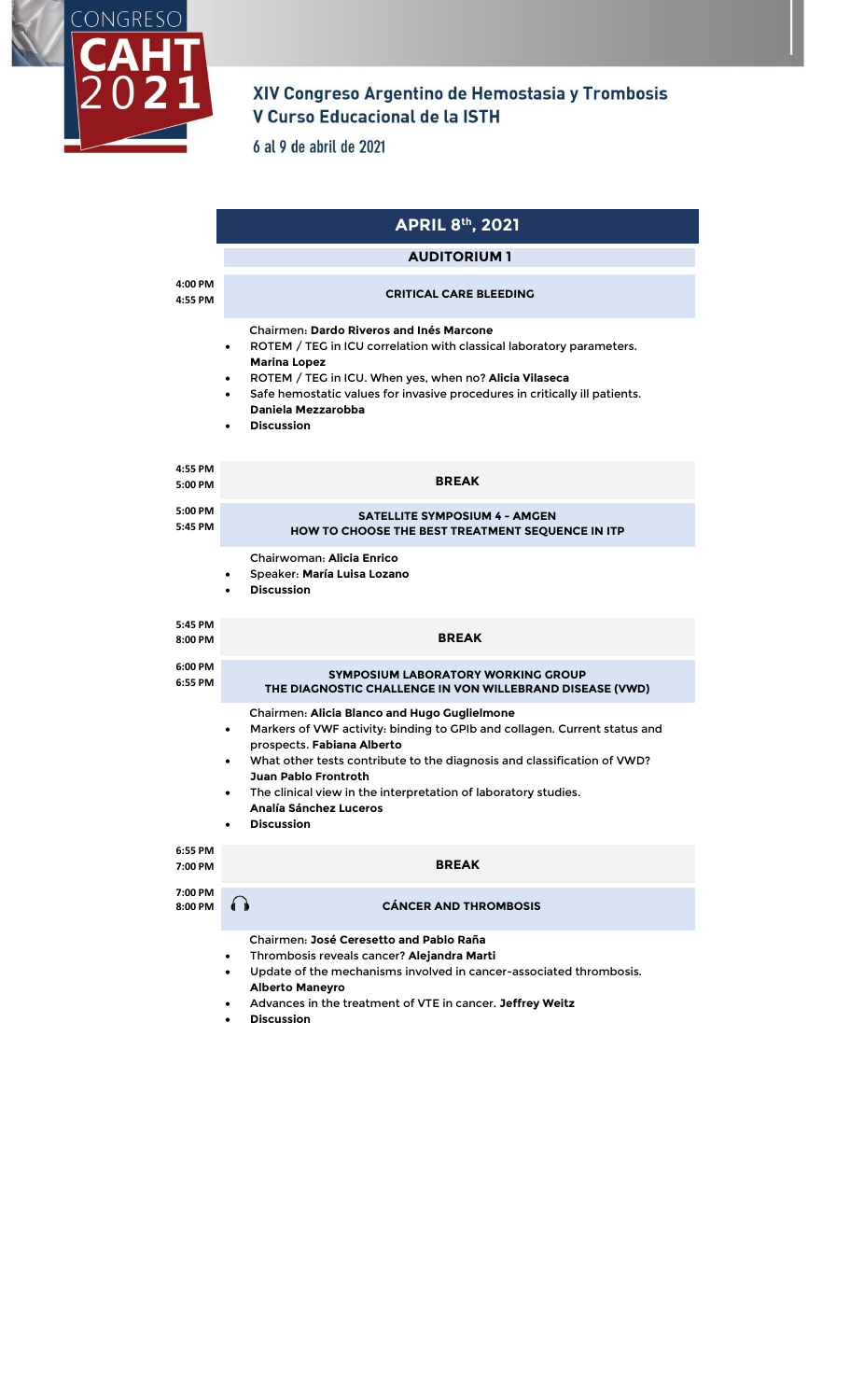

## XIV Congreso Argentino de Hemostasia y Trombosis V Curso Educacional de la ISTH

6 al 9 de abril de 2021

|                    | <b>APRIL 8th, 2021</b>                                                                                                                                                                                                                                                                                                                                                                 |
|--------------------|----------------------------------------------------------------------------------------------------------------------------------------------------------------------------------------------------------------------------------------------------------------------------------------------------------------------------------------------------------------------------------------|
|                    | <b>AUDITORIUM 1</b>                                                                                                                                                                                                                                                                                                                                                                    |
| 4:00 PM<br>4:55 PM | <b>CRITICAL CARE BLEEDING</b>                                                                                                                                                                                                                                                                                                                                                          |
|                    | <b>Chairmen: Dardo Riveros and Inés Marcone</b><br>ROTEM / TEG in ICU correlation with classical laboratory parameters.<br>$\bullet$<br><b>Marina Lopez</b><br>ROTEM / TEG in ICU. When yes, when no? Alicia Vilaseca<br>Safe hemostatic values for invasive procedures in critically ill patients.<br>$\bullet$<br>Daniela Mezzarobba<br><b>Discussion</b><br>$\bullet$               |
| 4:55 PM<br>5:00 PM | <b>BREAK</b>                                                                                                                                                                                                                                                                                                                                                                           |
| 5:00 PM<br>5:45 PM | <b>SATELLITE SYMPOSIUM 4 - AMGEN</b><br>HOW TO CHOOSE THE BEST TREATMENT SEOUENCE IN ITP                                                                                                                                                                                                                                                                                               |
|                    | Chairwoman: Alicia Enrico<br>Speaker: María Luisa Lozano<br>٠<br><b>Discussion</b>                                                                                                                                                                                                                                                                                                     |
| 5:45 PM<br>8:00 PM | <b>BREAK</b>                                                                                                                                                                                                                                                                                                                                                                           |
| 6:00 PM<br>6:55 PM | <b>SYMPOSIUM LABORATORY WORKING GROUP</b><br>THE DIAGNOSTIC CHALLENGE IN VON WILLEBRAND DISEASE (VWD)                                                                                                                                                                                                                                                                                  |
|                    | Chairmen: Alicia Blanco and Hugo Guglielmone<br>Markers of VWF activity: binding to GPIb and collagen. Current status and<br>٠<br>prospects. Fabiana Alberto<br>What other tests contribute to the diagnosis and classification of VWD?<br>Juan Pablo Frontroth<br>The clinical view in the interpretation of laboratory studies.<br>$\bullet$<br>Analía Sánchez Luceros<br>Discussion |
| 6:55 PM<br>7:00 PM | <b>BREAK</b>                                                                                                                                                                                                                                                                                                                                                                           |
| 7:00 PM<br>8:00 PM | <b>CÁNCER AND THROMBOSIS</b>                                                                                                                                                                                                                                                                                                                                                           |
|                    | Chairmen: José Ceresetto and Pablo Raña<br>Thrombosis reveals cancer? Alejandra Marti<br>٠<br>Update of the mechanisms involved in cancer-associated thrombosis.<br><b>Alberto Maneyro</b><br>Advances in the treatment of VTE in cancer. Jeffrey Weitz                                                                                                                                |

• **Discussion**